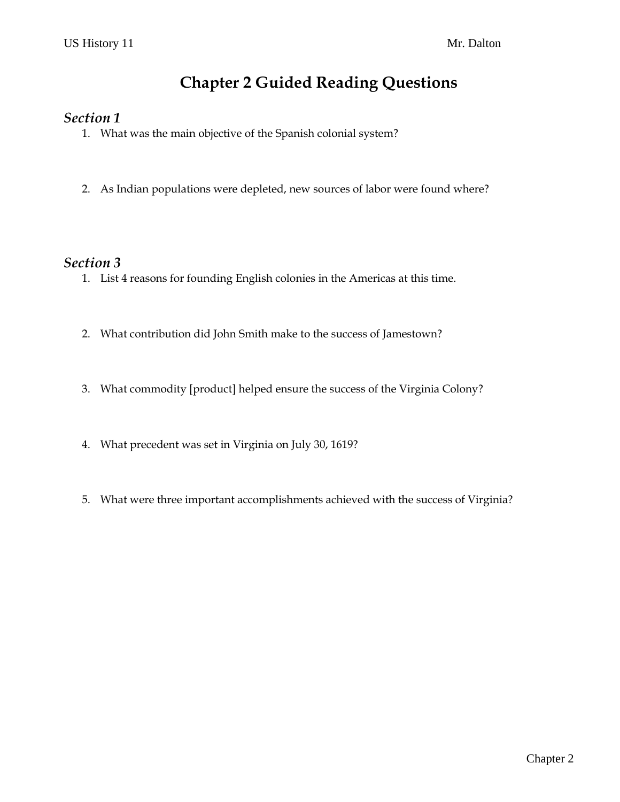# **Chapter 2 Guided Reading Questions**

#### *Section 1*

- 1. What was the main objective of the Spanish colonial system?
- 2. As Indian populations were depleted, new sources of labor were found where?

### *Section 3*

- 1. List 4 reasons for founding English colonies in the Americas at this time.
- 2. What contribution did John Smith make to the success of Jamestown?
- 3. What commodity [product] helped ensure the success of the Virginia Colony?
- 4. What precedent was set in Virginia on July 30, 1619?
- 5. What were three important accomplishments achieved with the success of Virginia?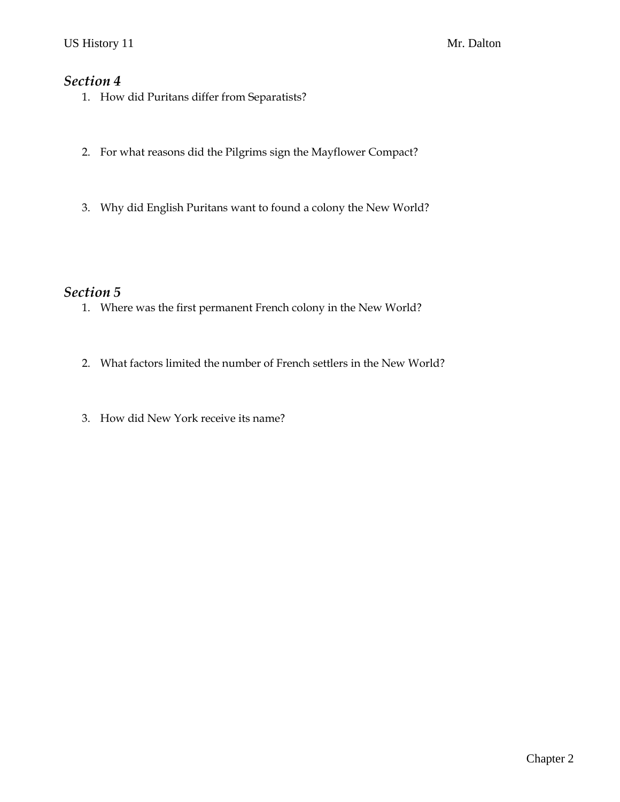### *Section 4*

- 1. How did Puritans differ from Separatists?
- 2. For what reasons did the Pilgrims sign the Mayflower Compact?
- 3. Why did English Puritans want to found a colony the New World?

## *Section 5*

- 1. Where was the first permanent French colony in the New World?
- 2. What factors limited the number of French settlers in the New World?
- 3. How did New York receive its name?